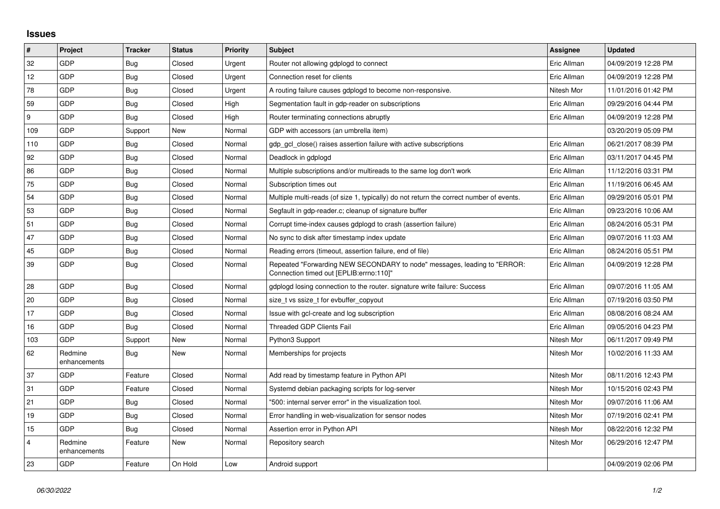## **Issues**

| $\vert$ #        | <b>Project</b>          | <b>Tracker</b> | <b>Status</b> | <b>Priority</b> | <b>Subject</b>                                                                                                      | Assignee    | <b>Updated</b>      |
|------------------|-------------------------|----------------|---------------|-----------------|---------------------------------------------------------------------------------------------------------------------|-------------|---------------------|
| 32               | GDP                     | Bug            | Closed        | Urgent          | Router not allowing gdplogd to connect                                                                              | Eric Allman | 04/09/2019 12:28 PM |
| 12               | GDP                     | <b>Bug</b>     | Closed        | Urgent          | Connection reset for clients                                                                                        | Eric Allman | 04/09/2019 12:28 PM |
| 78               | <b>GDP</b>              | Bug            | Closed        | Urgent          | A routing failure causes gdplogd to become non-responsive.                                                          | Nitesh Mor  | 11/01/2016 01:42 PM |
| 59               | <b>GDP</b>              | Bug            | Closed        | High            | Segmentation fault in gdp-reader on subscriptions                                                                   | Eric Allman | 09/29/2016 04:44 PM |
| $\boldsymbol{9}$ | GDP                     | Bug            | Closed        | High            | Router terminating connections abruptly                                                                             | Eric Allman | 04/09/2019 12:28 PM |
| 109              | <b>GDP</b>              | Support        | <b>New</b>    | Normal          | GDP with accessors (an umbrella item)                                                                               |             | 03/20/2019 05:09 PM |
| 110              | GDP                     | Bug            | Closed        | Normal          | gdp_gcl_close() raises assertion failure with active subscriptions                                                  | Eric Allman | 06/21/2017 08:39 PM |
| 92               | GDP                     | Bug            | Closed        | Normal          | Deadlock in gdplogd                                                                                                 | Eric Allman | 03/11/2017 04:45 PM |
| 86               | <b>GDP</b>              | Bug            | Closed        | Normal          | Multiple subscriptions and/or multireads to the same log don't work                                                 | Eric Allman | 11/12/2016 03:31 PM |
| 75               | <b>GDP</b>              | Bug            | Closed        | Normal          | Subscription times out                                                                                              | Eric Allman | 11/19/2016 06:45 AM |
| 54               | GDP                     | <b>Bug</b>     | Closed        | Normal          | Multiple multi-reads (of size 1, typically) do not return the correct number of events.                             | Eric Allman | 09/29/2016 05:01 PM |
| 53               | <b>GDP</b>              | Bug            | Closed        | Normal          | Segfault in gdp-reader.c; cleanup of signature buffer                                                               | Eric Allman | 09/23/2016 10:06 AM |
| 51               | <b>GDP</b>              | Bug            | Closed        | Normal          | Corrupt time-index causes gdplogd to crash (assertion failure)                                                      | Eric Allman | 08/24/2016 05:31 PM |
| 47               | GDP                     | <b>Bug</b>     | Closed        | Normal          | No sync to disk after timestamp index update                                                                        | Eric Allman | 09/07/2016 11:03 AM |
| 45               | <b>GDP</b>              | <b>Bug</b>     | Closed        | Normal          | Reading errors (timeout, assertion failure, end of file)                                                            | Eric Allman | 08/24/2016 05:51 PM |
| 39               | <b>GDP</b>              | Bug            | Closed        | Normal          | Repeated "Forwarding NEW SECONDARY to node" messages, leading to "ERROR:<br>Connection timed out [EPLIB:errno:110]" | Eric Allman | 04/09/2019 12:28 PM |
| 28               | <b>GDP</b>              | Bug            | Closed        | Normal          | gdplogd losing connection to the router. signature write failure: Success                                           | Eric Allman | 09/07/2016 11:05 AM |
| 20               | GDP                     | Bug            | Closed        | Normal          | size t vs ssize t for evbuffer copyout                                                                              | Eric Allman | 07/19/2016 03:50 PM |
| 17               | <b>GDP</b>              | <b>Bug</b>     | Closed        | Normal          | Issue with gcl-create and log subscription                                                                          | Eric Allman | 08/08/2016 08:24 AM |
| 16               | GDP                     | Bug            | Closed        | Normal          | <b>Threaded GDP Clients Fail</b>                                                                                    | Eric Allman | 09/05/2016 04:23 PM |
| 103              | GDP                     | Support        | New           | Normal          | Python3 Support                                                                                                     | Nitesh Mor  | 06/11/2017 09:49 PM |
| 62               | Redmine<br>enhancements | <b>Bug</b>     | New           | Normal          | Memberships for projects                                                                                            | Nitesh Mor  | 10/02/2016 11:33 AM |
| 37               | <b>GDP</b>              | Feature        | Closed        | Normal          | Add read by timestamp feature in Python API                                                                         | Nitesh Mor  | 08/11/2016 12:43 PM |
| 31               | GDP                     | Feature        | Closed        | Normal          | Systemd debian packaging scripts for log-server                                                                     | Nitesh Mor  | 10/15/2016 02:43 PM |
| 21               | GDP                     | Bug            | Closed        | Normal          | "500: internal server error" in the visualization tool.                                                             | Nitesh Mor  | 09/07/2016 11:06 AM |
| 19               | <b>GDP</b>              | Bug            | Closed        | Normal          | Error handling in web-visualization for sensor nodes                                                                | Nitesh Mor  | 07/19/2016 02:41 PM |
| 15               | <b>GDP</b>              | <b>Bug</b>     | Closed        | Normal          | Assertion error in Python API                                                                                       | Nitesh Mor  | 08/22/2016 12:32 PM |
| 4                | Redmine<br>enhancements | Feature        | New           | Normal          | Repository search                                                                                                   | Nitesh Mor  | 06/29/2016 12:47 PM |
| 23               | GDP                     | Feature        | On Hold       | Low             | Android support                                                                                                     |             | 04/09/2019 02:06 PM |